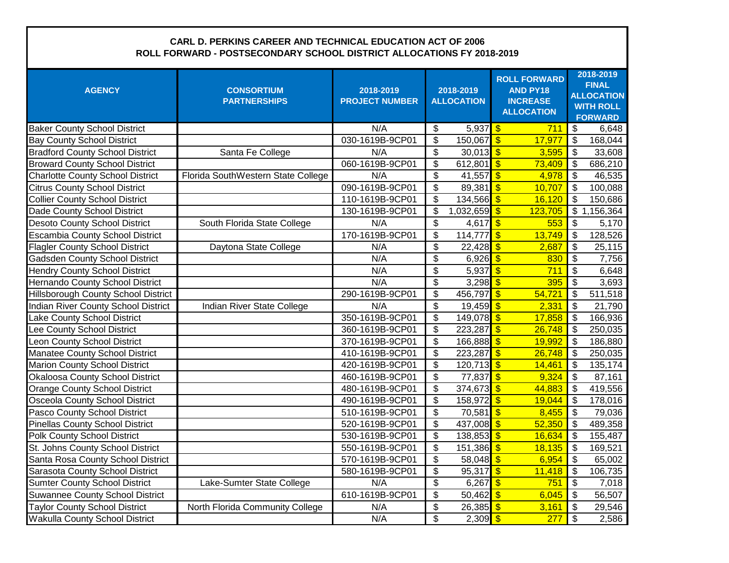## **CARL D. PERKINS CAREER AND TECHNICAL EDUCATION ACT OF 2006 ROLL FORWARD - POSTSECONDARY SCHOOL DISTRICT ALLOCATIONS FY 2018-2019**

| <b>AGENCY</b>                              | <b>CONSORTIUM</b><br><b>PARTNERSHIPS</b> | 2018-2019<br><b>PROJECT NUMBER</b> | 2018-2019<br><b>ALLOCATION</b> |                     |                          |         | <b>ROLL FORWARD</b><br><b>AND PY18</b><br><b>INCREASE</b><br><b>ALLOCATION</b> |                          | 2018-2019<br><b>FINAL</b><br><b>ALLOCATION</b><br><b>WITH ROLL</b><br><b>FORWARD</b> |  |  |
|--------------------------------------------|------------------------------------------|------------------------------------|--------------------------------|---------------------|--------------------------|---------|--------------------------------------------------------------------------------|--------------------------|--------------------------------------------------------------------------------------|--|--|
| <b>Baker County School District</b>        |                                          | N/A                                | \$                             | $5,937$ \$          |                          | 711     | $\overline{\mathbf{3}}$                                                        | 6,648                    |                                                                                      |  |  |
| <b>Bay County School District</b>          |                                          | 030-1619B-9CP01                    | \$                             | $150,067$ \$        |                          | 17,977  | $\mathfrak{s}$                                                                 | 168,044                  |                                                                                      |  |  |
| <b>Bradford County School District</b>     | Santa Fe College                         | N/A                                | \$                             | 30,013 $\sqrt{$}$   |                          | 3,595   | $\boldsymbol{\mathsf{S}}$                                                      | 33,608                   |                                                                                      |  |  |
| <b>Broward County School District</b>      |                                          | 060-1619B-9CP01                    | \$                             | 612,801             | $\overline{\mathcal{S}}$ | 73,409  | $\boldsymbol{\mathsf{S}}$                                                      | 686,210                  |                                                                                      |  |  |
| <b>Charlotte County School District</b>    | Florida SouthWestern State College       | N/A                                | \$                             | 41,557              | $\overline{\mathbf{3}}$  | 4,978   | \$                                                                             | 46,535                   |                                                                                      |  |  |
| <b>Citrus County School District</b>       |                                          | 090-1619B-9CP01                    | \$                             | 89,381              | $\overline{\mathbf{S}}$  | 10,707  | $\overline{\mathfrak{s}}$                                                      | 100,088                  |                                                                                      |  |  |
| <b>Collier County School District</b>      |                                          | 110-1619B-9CP01                    | \$                             | $134,566$ \$        |                          | 16,120  | $\overline{\mathbf{s}}$                                                        | 150,686                  |                                                                                      |  |  |
| Dade County School District                |                                          | 130-1619B-9CP01                    | \$                             | $1,032,659$ \$      |                          | 123,705 |                                                                                | $\overline{3}$ 1,156,364 |                                                                                      |  |  |
| <b>Desoto County School District</b>       | South Florida State College              | N/A                                | \$                             | 4,617               | $\overline{\bullet}$     | 553     | $\mathfrak{s}$                                                                 | 5,170                    |                                                                                      |  |  |
| <b>Escambia County School District</b>     |                                          | 170-1619B-9CP01                    | \$                             | 114,777             | $\overline{\mathbf{3}}$  | 13,749  | $\overline{\mathbf{s}}$                                                        | 128,526                  |                                                                                      |  |  |
| <b>Flagler County School District</b>      | Daytona State College                    | N/A                                | \$                             | $22,428$ \$         |                          | 2,687   | $\mathsf{\$}$                                                                  | 25,115                   |                                                                                      |  |  |
| <b>Gadsden County School District</b>      |                                          | N/A                                | \$                             | $6,926$ \$          |                          | 830     | $\boldsymbol{\mathsf{S}}$                                                      | 7,756                    |                                                                                      |  |  |
| <b>Hendry County School District</b>       |                                          | N/A                                | \$                             | 5,937               | $\overline{\bullet}$     | 711     | $\overline{\mathcal{S}}$                                                       | 6,648                    |                                                                                      |  |  |
| Hernando County School District            |                                          | N/A                                | \$                             | 3,298 $$$           |                          | 395     | $\mathsf{\$}$                                                                  | 3,693                    |                                                                                      |  |  |
| <b>Hillsborough County School District</b> |                                          | 290-1619B-9CP01                    | \$                             | 456,797             | $\overline{\mathbf{3}}$  | 54,721  | $\sqrt[6]{3}$                                                                  | 511,518                  |                                                                                      |  |  |
| <b>Indian River County School District</b> | Indian River State College               | N/A                                | \$                             | 19,459 <sup>5</sup> |                          | 2,331   | \$                                                                             | 21,790                   |                                                                                      |  |  |
| Lake County School District                |                                          | 350-1619B-9CP01                    | \$                             | $149,078$ \$        |                          | 17,858  | $\overline{\mathbf{s}}$                                                        | 166,936                  |                                                                                      |  |  |
| Lee County School District                 |                                          | 360-1619B-9CP01                    | \$                             | 223,287             | $\overline{\mathcal{S}}$ | 26,748  | $\overline{\$}$                                                                | 250,035                  |                                                                                      |  |  |
| Leon County School District                |                                          | 370-1619B-9CP01                    | \$                             | $166,888$ \$        |                          | 19,992  | $\overline{\mathbf{s}}$                                                        | 186,880                  |                                                                                      |  |  |
| Manatee County School District             |                                          | 410-1619B-9CP01                    | \$                             | $223,287$ \$        |                          | 26,748  | $\overline{\mathcal{S}}$                                                       | 250,035                  |                                                                                      |  |  |
| <b>Marion County School District</b>       |                                          | 420-1619B-9CP01                    | \$                             | $120,713$ \$        |                          | 14,461  | $\overline{\mathfrak{s}}$                                                      | 135,174                  |                                                                                      |  |  |
| <b>Okaloosa County School District</b>     |                                          | 460-1619B-9CP01                    | \$                             | 77,837              | $\overline{\bullet}$     | 9,324   | $\overline{\mathcal{S}}$                                                       | 87,161                   |                                                                                      |  |  |
| <b>Orange County School District</b>       |                                          | 480-1619B-9CP01                    | \$                             | 374,673 \$          |                          | 44,883  | $\overline{\mathcal{S}}$                                                       | 419,556                  |                                                                                      |  |  |
| <b>Osceola County School District</b>      |                                          | 490-1619B-9CP01                    | \$                             | 158,972             | $\overline{\mathsf{S}}$  | 19,044  | $\overline{\mathbf{s}}$                                                        | 178,016                  |                                                                                      |  |  |
| Pasco County School District               |                                          | 510-1619B-9CP01                    | $\overline{\mathbb{S}}$        | 70,581              | $\overline{\mathbf{s}}$  | 8,455   | $\overline{\mathcal{S}}$                                                       | 79,036                   |                                                                                      |  |  |
| <b>Pinellas County School District</b>     |                                          | 520-1619B-9CP01                    | \$                             | 437,008 \$          |                          | 52,350  | \$                                                                             | 489,358                  |                                                                                      |  |  |
| <b>Polk County School District</b>         |                                          | 530-1619B-9CP01                    | \$                             | $138,853$ \$        |                          | 16,634  | $\boldsymbol{\mathsf{S}}$                                                      | 155,487                  |                                                                                      |  |  |
| St. Johns County School District           |                                          | 550-1619B-9CP01                    | \$                             | $151,386$ \$        |                          | 18,135  | $\sqrt[6]{3}$                                                                  | 169,521                  |                                                                                      |  |  |
| Santa Rosa County School District          |                                          | 570-1619B-9CP01                    | \$                             | 58,048 $\sqrt{3}$   |                          | 6,954   | $\mathfrak{S}$                                                                 | 65,002                   |                                                                                      |  |  |
| Sarasota County School District            |                                          | 580-1619B-9CP01                    | \$                             | 95,317              | $\overline{\mathbf{s}}$  | 11,418  | $\boldsymbol{\mathsf{S}}$                                                      | 106,735                  |                                                                                      |  |  |
| <b>Sumter County School District</b>       | Lake-Sumter State College                | N/A                                | \$                             | 6,267               | $\overline{\mathbf{3}}$  | 751     | $\overline{\mathbf{s}}$                                                        | 7,018                    |                                                                                      |  |  |
| <b>Suwannee County School District</b>     |                                          | 610-1619B-9CP01                    | \$                             | 50,462              | $\overline{\mathbf{S}}$  | 6,045   | $\overline{\mathbf{s}}$                                                        | 56,507                   |                                                                                      |  |  |
| <b>Taylor County School District</b>       | North Florida Community College          | N/A                                | \$                             | 26,385              | $\sqrt{3}$               | 3,161   | $\boldsymbol{\mathsf{S}}$                                                      | 29,546                   |                                                                                      |  |  |
| <b>Wakulla County School District</b>      |                                          | N/A                                | \$                             | 2,309               | $\sqrt{3}$               | 277     | $\overline{\mathbf{s}}$                                                        | 2,586                    |                                                                                      |  |  |